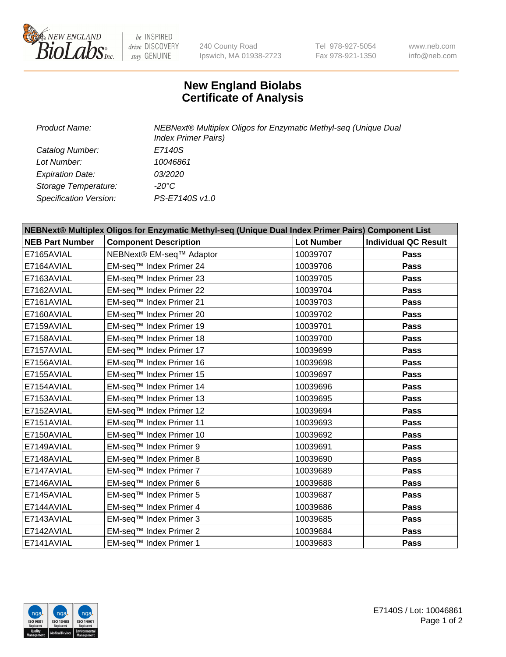

 $be$  INSPIRED drive DISCOVERY stay GENUINE

240 County Road Ipswich, MA 01938-2723 Tel 978-927-5054 Fax 978-921-1350 www.neb.com info@neb.com

## **New England Biolabs Certificate of Analysis**

| <b>Product Name:</b>    | NEBNext® Multiplex Oligos for Enzymatic Methyl-seq (Unique Dual<br><b>Index Primer Pairs)</b> |
|-------------------------|-----------------------------------------------------------------------------------------------|
| Catalog Number:         | E7140S                                                                                        |
| Lot Number:             | 10046861                                                                                      |
| <b>Expiration Date:</b> | <i>03/2020</i>                                                                                |
| Storage Temperature:    | $-20^{\circ}$ C                                                                               |
| Specification Version:  | PS-E7140S v1.0                                                                                |

| NEBNext® Multiplex Oligos for Enzymatic Methyl-seq (Unique Dual Index Primer Pairs) Component List |                              |                   |                             |  |
|----------------------------------------------------------------------------------------------------|------------------------------|-------------------|-----------------------------|--|
| <b>NEB Part Number</b>                                                                             | <b>Component Description</b> | <b>Lot Number</b> | <b>Individual QC Result</b> |  |
| E7165AVIAL                                                                                         | NEBNext® EM-seq™ Adaptor     | 10039707          | Pass                        |  |
| E7164AVIAL                                                                                         | EM-seq™ Index Primer 24      | 10039706          | <b>Pass</b>                 |  |
| E7163AVIAL                                                                                         | EM-seq™ Index Primer 23      | 10039705          | <b>Pass</b>                 |  |
| E7162AVIAL                                                                                         | EM-seq™ Index Primer 22      | 10039704          | <b>Pass</b>                 |  |
| E7161AVIAL                                                                                         | EM-seq™ Index Primer 21      | 10039703          | Pass                        |  |
| E7160AVIAL                                                                                         | EM-seq™ Index Primer 20      | 10039702          | <b>Pass</b>                 |  |
| E7159AVIAL                                                                                         | EM-seq™ Index Primer 19      | 10039701          | <b>Pass</b>                 |  |
| E7158AVIAL                                                                                         | EM-seq™ Index Primer 18      | 10039700          | <b>Pass</b>                 |  |
| E7157AVIAL                                                                                         | EM-seq™ Index Primer 17      | 10039699          | Pass                        |  |
| E7156AVIAL                                                                                         | EM-seq™ Index Primer 16      | 10039698          | <b>Pass</b>                 |  |
| E7155AVIAL                                                                                         | EM-seq™ Index Primer 15      | 10039697          | <b>Pass</b>                 |  |
| E7154AVIAL                                                                                         | EM-seq™ Index Primer 14      | 10039696          | Pass                        |  |
| E7153AVIAL                                                                                         | EM-seq™ Index Primer 13      | 10039695          | Pass                        |  |
| E7152AVIAL                                                                                         | EM-seq™ Index Primer 12      | 10039694          | Pass                        |  |
| E7151AVIAL                                                                                         | EM-seq™ Index Primer 11      | 10039693          | <b>Pass</b>                 |  |
| E7150AVIAL                                                                                         | EM-seq™ Index Primer 10      | 10039692          | Pass                        |  |
| E7149AVIAL                                                                                         | EM-seq™ Index Primer 9       | 10039691          | Pass                        |  |
| E7148AVIAL                                                                                         | EM-seq™ Index Primer 8       | 10039690          | <b>Pass</b>                 |  |
| E7147AVIAL                                                                                         | EM-seq™ Index Primer 7       | 10039689          | Pass                        |  |
| E7146AVIAL                                                                                         | EM-seq™ Index Primer 6       | 10039688          | <b>Pass</b>                 |  |
| E7145AVIAL                                                                                         | EM-seq™ Index Primer 5       | 10039687          | <b>Pass</b>                 |  |
| E7144AVIAL                                                                                         | EM-seq™ Index Primer 4       | 10039686          | <b>Pass</b>                 |  |
| E7143AVIAL                                                                                         | EM-seq™ Index Primer 3       | 10039685          | Pass                        |  |
| E7142AVIAL                                                                                         | EM-seq™ Index Primer 2       | 10039684          | <b>Pass</b>                 |  |
| E7141AVIAL                                                                                         | EM-seq™ Index Primer 1       | 10039683          | Pass                        |  |